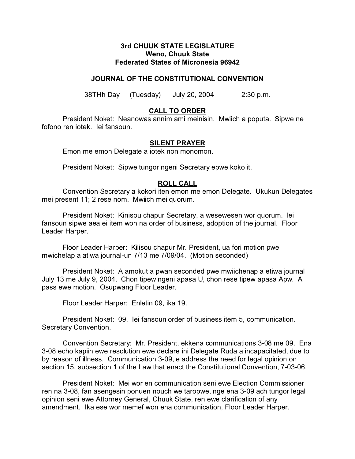### **3rd CHUUK STATE LEGISLATURE Weno, Chuuk State Federated States of Micronesia 96942**

# **JOURNAL OF THE CONSTITUTIONAL CONVENTION**

38THh Day (Tuesday) July 20, 2004 2:30 p.m.

# **CALL TO ORDER**

President Noket: Neanowas annim ami meinisin. Mwiich a poputa. Sipwe ne fofono ren iotek. Iei fansoun.

### **SILENT PRAYER**

Emon me emon Delegate a iotek non monomon.

President Noket: Sipwe tungor ngeni Secretary epwe koko it.

### **ROLL CALL**

Convention Secretary a kokori iten emon me emon Delegate. Ukukun Delegates mei present 11; 2 rese nom. Mwiich mei quorum.

President Noket: Kinisou chapur Secretary, a wesewesen wor quorum. Iei fansoun sipwe aea ei item won na order of business, adoption of the journal. Floor Leader Harper.

Floor Leader Harper: Kilisou chapur Mr. President, ua fori motion pwe mwichelap a atiwa journal-un 7/13 me 7/09/04. (Motion seconded)

President Noket: A amokut a pwan seconded pwe mwiichenap a etiwa journal July 13 me July 9, 2004. Chon tipew ngeni apasa U, chon rese tipew apasa Apw. A pass ewe motion. Osupwang Floor Leader.

Floor Leader Harper: Enletin 09, ika 19.

President Noket: 09. Iei fansoun order of business item 5, communication. Secretary Convention.

Convention Secretary: Mr. President, ekkena communications 3-08 me 09. Ena 3-08 echo kapiin ewe resolution ewe declare ini Delegate Ruda a incapacitated, due to by reason of illness. Communication 3-09, e address the need for legal opinion on section 15, subsection 1 of the Law that enact the Constitutional Convention, 7-03-06.

President Noket: Mei wor en communication seni ewe Election Commissioner ren na 3-08, fan asengesin ponuen nouch we taropwe, nge ena 3-09 ach tungor legal opinion seni ewe Attorney General, Chuuk State, ren ewe clarification of any amendment. Ika ese wor memef won ena communication, Floor Leader Harper.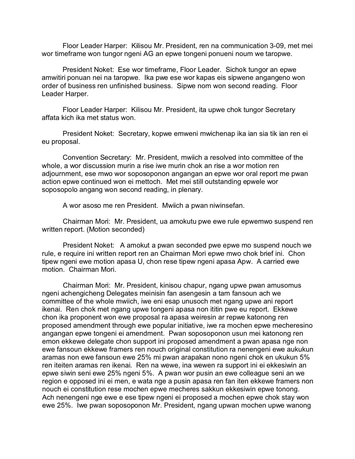Floor Leader Harper: Kilisou Mr. President, ren na communication 3-09, met mei wor timeframe won tungor ngeni AG an epwe tongeni ponueni noum we taropwe.

President Noket: Ese wor timeframe, Floor Leader. Sichok tungor an epwe amwitiri ponuan nei na taropwe. Ika pwe ese wor kapas eis sipwene angangeno won order of business ren unfinished business. Sipwe nom won second reading. Floor Leader Harper.

Floor Leader Harper: Kilisou Mr. President, ita upwe chok tungor Secretary affata kich ika met status won.

President Noket: Secretary, kopwe emweni mwichenap ika ian sia tik ian ren ei eu proposal.

Convention Secretary: Mr. President, mwiich a resolved into committee of the whole, a wor discussion murin a rise iwe murin chok an rise a wor motion ren adjournment, ese mwo wor soposoponon angangan an epwe wor oral report me pwan action epwe continued won ei mettoch. Met mei still outstanding epwele wor soposopolo angang won second reading, in plenary.

A wor asoso me ren President. Mwiich a pwan niwinsefan.

Chairman Mori: Mr. President, ua amokutu pwe ewe rule epwemwo suspend ren written report. (Motion seconded)

President Noket: A amokut a pwan seconded pwe epwe mo suspend nouch we rule, e require ini written report ren an Chairman Mori epwe mwo chok brief ini. Chon tipew ngeni ewe motion apasa U, chon rese tipew ngeni apasa Apw. A carried ewe motion. Chairman Mori.

Chairman Mori: Mr. President, kinisou chapur, ngang upwe pwan amusomus ngeni achengicheng Delegates meinisin fan asengesin a tam fansoun ach we committee of the whole mwiich, iwe eni esap unusoch met ngang upwe ani report ikenai. Ren chok met ngang upwe tongeni apasa non ititin pwe eu report. Ekkewe chon ika proponent won ewe proposal ra apasa weiresin ar repwe katonong ren proposed amendment through ewe popular initiative, iwe ra mochen epwe mecheresino angangan epwe tongeni ei amendment. Pwan soposoponon usun mei katonong ren emon ekkewe delegate chon support ini proposed amendment a pwan apasa nge non ewe fansoun ekkewe framers ren nouch original constitution ra nenengeni ewe aukukun aramas non ewe fansoun ewe 25% mi pwan arapakan nono ngeni chok en ukukun 5% ren iteiten aramas ren ikenai. Ren na wewe, ina wewen ra support ini ei ekkesiwin an epwe siwin seni ewe 25% ngeni 5%. A pwan wor pusin an ewe colleague seni an we region e opposed ini ei men, e wata nge a pusin apasa ren fan iten ekkewe framers non nouch ei constitution rese mochen epwe mecheres sakkun ekkesiwin epwe tonong. Ach nenengeni nge ewe e ese tipew ngeni ei proposed a mochen epwe chok stay won ewe 25%. Iwe pwan soposoponon Mr. President, ngang upwan mochen upwe wanong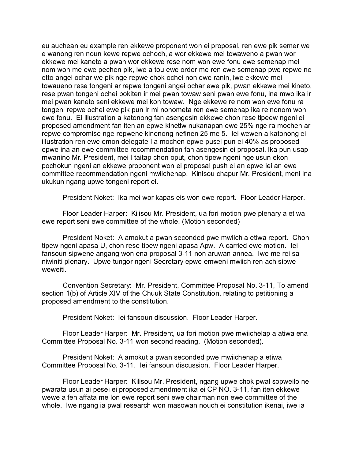eu auchean eu example ren ekkewe proponent won ei proposal, ren ewe pik semer we e wanong ren noun kewe repwe ochoch, a wor ekkewe mei towaweno a pwan wor ekkewe mei kaneto a pwan wor ekkewe rese nom won ewe fonu ewe semenap mei nom won me ewe pechen pik, iwe a tou ewe order me ren ewe semenap pwe repwe ne etto angei ochar we pik nge repwe chok ochei non ewe ranin, iwe ekkewe mei towaueno rese tongeni ar repwe tongeni angei ochar ewe pik, pwan ekkewe mei kineto, rese pwan tongeni ochei pokiten ir mei pwan towaw seni pwan ewe fonu, ina mwo ika ir mei pwan kaneto seni ekkewe mei kon towaw. Nge ekkewe re nom won ewe fonu ra tongeni repwe ochei ewe pik pun ir mi nonometa ren ewe semenap ika re nonom won ewe fonu. Ei illustration a katonong fan asengesin ekkewe chon rese tipeew ngeni ei proposed amendment fan iten an epwe kinetiw nukanapan ewe 25% nge ra mochen ar repwe compromise nge repwene kinenong nefinen 25 me 5. Iei wewen a katonong ei illustration ren ewe emon delegate I a mochen epwe pusei pun ei 40% as proposed epwe ina an ewe committee recommendation fan asengesin ei proposal. Ika pun usap mwanino Mr. President, mei I taitap chon oput, chon tipew ngeni nge usun ekon pochokun ngeni an ekkewe proponent won ei proposal push ei an epwe iei an ewe committee recommendation ngeni mwiichenap. Kinisou chapur Mr. President, meni ina ukukun ngang upwe tongeni report ei.

President Noket: Ika mei wor kapas eis won ewe report. Floor Leader Harper.

Floor Leader Harper: Kilisou Mr. President, ua fori motion pwe plenary a etiwa ewe report seni ewe committee of the whole. (Motion seconded)

President Noket: A amokut a pwan seconded pwe mwiich a etiwa report. Chon tipew ngeni apasa U, chon rese tipew ngeni apasa Apw. A carried ewe motion. Iei fansoun sipwene angang won ena proposal 3-11 non aruwan annea. Iwe me rei sa niwiniti plenary. Upwe tungor ngeni Secretary epwe emweni mwiich ren ach sipwe weweiti.

Convention Secretary: Mr. President, Committee Proposal No. 3-11, To amend section 1(b) of Article XIV of the Chuuk State Constitution, relating to petitioning a proposed amendment to the constitution.

President Noket: Iei fansoun discussion. Floor Leader Harper.

Floor Leader Harper: Mr. President, ua fori motion pwe mwiichelap a atiwa ena Committee Proposal No. 3-11 won second reading. (Motion seconded).

President Noket: A amokut a pwan seconded pwe mwiichenap a etiwa Committee Proposal No. 3-11. Iei fansoun discussion. Floor Leader Harper.

Floor Leader Harper: Kilisou Mr. President, ngang upwe chok pwal sopweilo ne pwarata usun ai pesei ei proposed amendment ika ei CP NO. 3-11, fan iten ekkewe wewe a fen affata me lon ewe report seni ewe chairman non ewe committee of the whole. Iwe ngang ia pwal research won masowan nouch ei constitution ikenai, iwe ia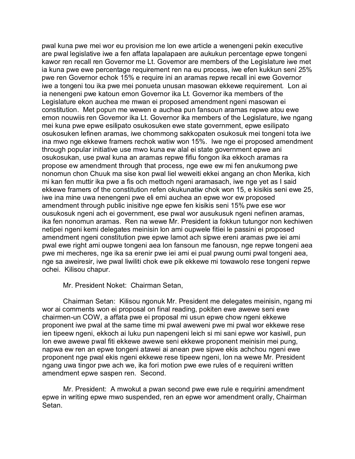pwal kuna pwe mei wor eu provision me lon ewe article a wenengeni pekin executive are pwal legislative iwe a fen affata lapalapaen are aukukun percentage epwe tongeni kawor ren recall ren Governor me Lt. Governor are members of the Legislature iwe met ia kuna pwe ewe percentage requirement ren na eu process, iwe efen kukkun seni 25% pwe ren Governor echok 15% e require ini an aramas repwe recall ini ewe Governor iwe a tongeni tou ika pwe mei ponueta unusan masowan ekkewe requirement. Lon ai ia nenengeni pwe katoun emon Governor ika Lt. Governor ika members of the Legislature ekon auchea me mwan ei proposed amendment ngeni masowan ei constitution. Met popun me wewen e auchea pun fansoun aramas repwe atou ewe emon nouwiis ren Governor ika Lt. Governor ika members of the Legislature, iwe ngang mei kuna pwe epwe esilipato osukosuken ewe state government, epwe esilipato osukosuken lefinen aramas, iwe chommong sakkopaten osukosuk mei tongeni tota iwe ina mwo nge ekkewe framers rechok watiw won 15%. Iwe nge ei proposed amendment through popular initiative use mwo kuna ew alal ei state government epwe ani osukosukan, use pwal kuna an aramas repwe fifiu fongon ika ekkoch aramas ra propose ew amendment through that process, nge ewe ew mi fen anukumong pwe nonomun chon Chuuk ma sise kon pwal liel weweiti ekkei angang an chon Merika, kich mi kan fen muttir ika pwe a fis och mettoch ngeni aramasach, iwe nge yet as I said ekkewe framers of the constitution refen okukunatiw chok won 15, e kisikis seni ewe 25, iwe ina mine uwa nenengeni pwe eli emi auchea an epwe wor ew proposed amendment through public inisitive nge epwe fen kisikis seni 15% pwe ese wor ousukosuk ngeni ach ei government, ese pwal wor ausukusuk ngeni nefinen aramas, ika fen nonomun aramas. Ren na wewe Mr. President ia fokkun tutungor non kechiwen netipei ngeni kemi delegates meinisin lon ami oupwele fitiei le passini ei proposed amendment ngeni constitution pwe epwe lamot ach sipwe ereni aramas pwe iei ami pwal ewe right ami oupwe tongeni aea lon fansoun me fanousn, nge repwe tongeni aea pwe mi mecheres, nge ika sa erenir pwe iei ami ei pual pwung oumi pwal tongeni aea, nge sa aweiresir, iwe pwal liwiliti chok ewe pik ekkewe mi towawolo rese tongeni repwe ochei. Kilisou chapur.

#### Mr. President Noket: Chairman Setan,

Chairman Setan: Kilisou ngonuk Mr. President me delegates meinisin, ngang mi wor ai comments won ei proposal on final reading, pokiten ewe awewe seni ewe chairmen-un COW, a affata pwe ei proposal mi usun epwe chow ngeni ekkewe proponent iwe pwal at the same time mi pwal aweweni pwe mi pwal wor ekkewe rese ien tipeew ngeni, ekkoch ai luku pun napengeni leich si mi sani epwe wor kasiwil, pun lon ewe awewe pwal fiti ekkewe awewe seni ekkewe proponent meinisin mei pung, napwa ew ren an epwe tongeni atawei ai anean pwe sipwe ekis achchou ngeni ewe proponent nge pwal ekis ngeni ekkewe rese tipeew ngeni, lon na wewe Mr. President ngang uwa tingor pwe ach we, ika fori motion pwe ewe rules of e requireni written amendment epwe saspen ren. Second.

Mr. President: A mwokut a pwan second pwe ewe rule e requirini amendment epwe in writing epwe mwo suspended, ren an epwe wor amendment orally, Chairman Setan.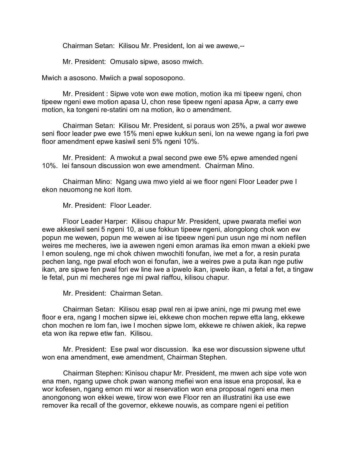Chairman Setan: Kilisou Mr. President, lon ai we awewe,--

Mr. President: Omusalo sipwe, asoso mwich.

Mwich a asosono. Mwiich a pwal soposopono.

Mr. President : Sipwe vote won ewe motion, motion ika mi tipeew ngeni, chon tipeew ngeni ewe motion apasa U, chon rese tipeew ngeni apasa Apw, a carry ewe motion, ka tongeni re-statini om na motion, iko o amendment.

Chairman Setan: Kilisou Mr. President, si poraus won 25%, a pwal wor awewe seni floor leader pwe ewe 15% meni epwe kukkun seni, lon na wewe ngang ia fori pwe floor amendment epwe kasiwil seni 5% ngeni 10%.

Mr. President: A mwokut a pwal second pwe ewe 5% epwe amended ngeni 10%. Iei fansoun discussion won ewe amendment. Chairman Mino.

Chairman Mino: Ngang uwa mwo yield ai we floor ngeni Floor Leader pwe I ekon neuomong ne kori itom.

Mr. President: Floor Leader.

Floor Leader Harper: Kilisou chapur Mr. President, upwe pwarata mefiei won ewe akkesiwil seni 5 ngeni 10, ai use fokkun tipeew ngeni, alongolong chok won ew popun me wewen, popun me wewen ai ise tipeew ngeni pun usun nge mi nom nefilen weires me mecheres, iwe ia awewen ngeni emon aramas ika emon mwan a ekieki pwe I emon souleng, nge mi chok chiwen mwochiti fonufan, iwe met a for, a resin purata pechen lang, nge pwal efoch won ei fonufan, iwe a weires pwe a puta ikan nge putiw ikan, are sipwe fen pwal fori ew line iwe a ipwelo ikan, ipwelo ikan, a fetal a fet, a tingaw le fetal, pun mi mecheres nge mi pwal riaffou, kilisou chapur.

Mr. President: Chairman Setan.

Chairman Setan: Kilisou esap pwal ren ai ipwe anini, nge mi pwung met ewe floor e era, ngang I mochen sipwe iei, ekkewe chon mochen repwe etta lang, ekkewe chon mochen re lom fan, iwe I mochen sipwe lom, ekkewe re chiwen akiek, ika repwe eta won ika repwe etiw fan. Kilisou.

Mr. President: Ese pwal wor discussion. Ika ese wor discussion sipwene uttut won ena amendment, ewe amendment, Chairman Stephen.

Chairman Stephen: Kinisou chapur Mr. President, me mwen ach sipe vote won ena men, ngang upwe chok pwan wanong mefiei won ena issue ena proposal, ika e wor kofesen, ngang emon mi wor ai reservation won ena proposal ngeni ena men anongonong won ekkei wewe, tirow won ewe Floor ren an illustratini ika use ewe remover ika recall of the governor, ekkewe nouwis, as compare ngeni ei petition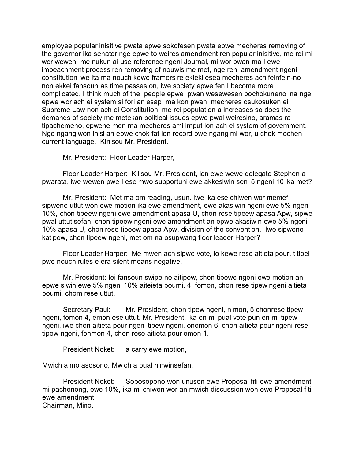employee popular inisitive pwata epwe sokofesen pwata epwe mecheres removing of the governor ika senator nge epwe to weires amendment ren popular inisitive, me rei mi wor wewen me nukun ai use reference ngeni Journal, mi wor pwan ma I ewe impeachment process ren removing of nouwis me met, nge ren amendment ngeni constitution iwe ita ma nouch kewe framers re ekieki esea mecheres ach feinfein-no non ekkei fansoun as time passes on, iwe society epwe fen I become more complicated, I think much of the people epwe pwan wesewesen pochokuneno ina nge epwe wor ach ei system si fori an esap ma kon pwan mecheres osukosuken ei Supreme Law non ach ei Constitution, me rei population a increases so does the demands of society me metekan political issues epwe pwal weiresino, aramas ra tipachemeno, epwene men ma mecheres ami imput lon ach ei system of government. Nge ngang won inisi an epwe chok fat lon record pwe ngang mi wor, u chok mochen current language. Kinisou Mr. President.

Mr. President: Floor Leader Harper,

Floor Leader Harper: Kilisou Mr. President, lon ewe wewe delegate Stephen a pwarata, iwe wewen pwe I ese mwo supportuni ewe akkesiwin seni 5 ngeni 10 ika met?

Mr. President: Met ma om reading, usun. Iwe ika ese chiwen wor memef sipwene uttut won ewe motion ika ewe amendment, ewe akasiwin ngeni ewe 5% ngeni 10%, chon tipeew ngeni ewe amendment apasa U, chon rese tipeew apasa Apw, sipwe pwal uttut sefan, chon tipeew ngeni ewe amendment an epwe akasiwin ewe 5% ngeni 10% apasa U, chon rese tipeew apasa Apw, division of the convention. Iwe sipwene katipow, chon tipeew ngeni, met om na osupwang floor leader Harper?

Floor Leader Harper: Me mwen ach sipwe vote, io kewe rese aitieta pour, titipei pwe nouch rules e era silent means negative.

Mr. President: Iei fansoun swipe ne aitipow, chon tipewe ngeni ewe motion an epwe siwin ewe 5% ngeni 10% aiteieta poumi. 4, fomon, chon rese tipew ngeni aitieta poumi, chom rese uttut,

Secretary Paul: Mr. President, chon tipew ngeni, nimon, 5 chonrese tipew ngeni, fomon 4, emon ese uttut. Mr. President, ika en mi pual vote pun en mi tipew ngeni, iwe chon aitieta pour ngeni tipew ngeni, onomon 6, chon aitieta pour ngeni rese tipew ngeni, fonmon 4, chon rese aitieta pour emon 1.

President Noket: a carry ewe motion,

Mwich a mo asosono, Mwich a pual ninwinsefan.

President Noket: Soposopono won unusen ewe Proposal fiti ewe amendment mi pachenong, ewe 10%, ika mi chiwen wor an mwich discussion won ewe Proposal fiti ewe amendment.

Chairman, Mino.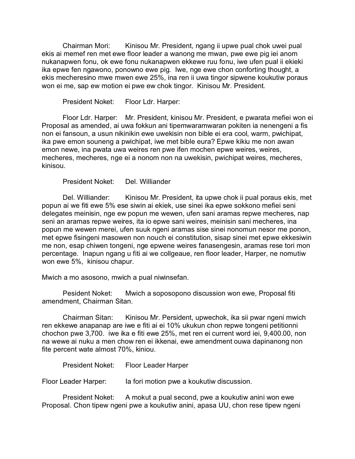Chairman Mori: Kinisou Mr. President, ngang ii upwe pual chok uwei pual ekis ai memef ren met ewe floor leader a wanong me mwan, pwe ewe pig iei anom nukanapwen fonu, ok ewe fonu nukanapwen ekkewe ruu fonu, iwe ufen pual ii ekieki ika epwe fen ngawono, ponowno ewe pig. Iwe, nge ewe chon conforting thought, a ekis mecheresino mwe mwen ewe 25%, ina ren ii uwa tingor sipwene koukutiw poraus won ei me, sap ew motion ei pwe ew chok tingor. Kinisou Mr. President.

President Noket: Floor Ldr. Harper:

Floor Ldr. Harper: Mr. President, kinisou Mr. President, e pwarata mefiei won ei Proposal as amended, ai uwa fokkun ani tipemwaramwaran pokiten ia nenengeni a fis non ei fansoun, a usun nikinikin ewe uwekisin non bible ei era cool, warm, pwichipat, ika pwe emon souneng a pwichipat, iwe met bible eura? Epwe kikiu me non awan emon newe, ina pwata uwa weires ren pwe ifen mochen epwe weires, weires, mecheres, mecheres, nge ei a nonom non na uwekisin, pwichipat weires, mecheres, kinisou.

President Noket: Del. Williander

Del. Williander: Kinisou Mr. President, ita upwe chok ii pual poraus ekis, met popun ai we fiti ewe 5% ese siwin ai ekiek, use sinei ika epwe sokkono mefiei seni delegates meinisin, nge ew popun me wewen, ufen sani aramas repwe mecheres, nap seni an aramas repwe weires, ita io epwe sani weires, meinisin sani mecheres, ina popun me wewen merei, ufen suuk ngeni aramas sise sinei nonomun nesor me ponon, met epwe fisingeni masowen non nouch ei constitution, sisap sinei met epwe ekkesiwin me non, esap chiwen tongeni, nge epwene weires fanasengesin, aramas rese tori mon percentage. Inapun ngang u fiti ai we collgeaue, ren floor leader, Harper, ne nomutiw won ewe 5%, kinisou chapur.

Mwich a mo asosono, mwich a pual niwinsefan.

Pesident Noket: Mwich a soposopono discussion won ewe, Proposal fiti amendment, Chairman Sitan.

Chairman Sitan: Kinisou Mr. Persident, upwechok, ika sii pwar ngeni mwich ren ekkewe anapanap are iwe e fiti ai ei 10% ukukun chon repwe tongeni petitionni chochon pwe 3,700. iwe ika e fiti ewe 25%, met ren ei current word iei, 9,400.00, non na wewe ai nuku a men chow ren ei ikkenai, ewe amendment ouwa dapinanong non fite percent wate almost 70%, kiniou.

President Noket: Floor Leader Harper

Floor Leader Harper: Ia fori motion pwe a koukutiw discussion.

President Noket: A mokut a pual second, pwe a koukutiw anini won ewe Proposal. Chon tipew ngeni pwe a koukutiw anini, apasa UU, chon rese tipew ngeni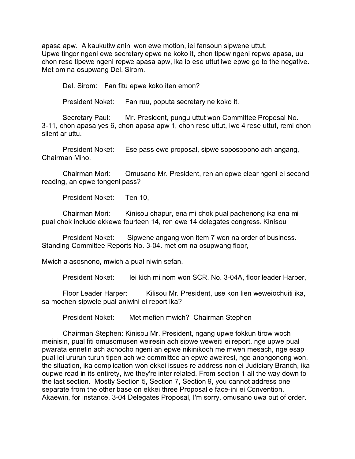apasa apw. A kaukutiw anini won ewe motion, iei fansoun sipwene uttut, Upwe tingor ngeni ewe secretary epwe ne koko it, chon tipew ngeni repwe apasa, uu chon rese tipewe ngeni repwe apasa apw, ika io ese uttut iwe epwe go to the negative. Met om na osupwang Del. Sirom.

Del. Sirom: Fan fitu epwe koko iten emon?

President Noket: Fan ruu, poputa secretary ne koko it.

Secretary Paul: Mr. President, pungu uttut won Committee Proposal No. 3-11, chon apasa yes 6, chon apasa apw 1, chon rese uttut, iwe 4 rese uttut, remi chon silent ar uttu.

President Noket: Ese pass ewe proposal, sipwe soposopono ach angang, Chairman Mino,

Chairman Mori: Omusano Mr. President, ren an epwe clear ngeni ei second reading, an epwe tongeni pass?

President Noket: Ten 10,

Chairman Mori: Kinisou chapur, ena mi chok pual pachenong ika ena mi pual chok include ekkewe fourteen 14, ren ewe 14 delegates congress. Kinisou

President Noket: Sipwene angang won item 7 won na order of business. Standing Committee Reports No. 3-04. met om na osupwang floor,

Mwich a asosnono, mwich a pual niwin sefan.

President Noket: Iei kich mi nom won SCR. No. 3-04A, floor leader Harper,

Floor Leader Harper: Kilisou Mr. President, use kon lien weweiochuiti ika, sa mochen sipwele pual aniwini ei report ika?

President Noket: Met mefien mwich? Chairman Stephen

Chairman Stephen: Kinisou Mr. President, ngang upwe fokkun tirow woch meinisin, pual fiti omusomusen weiresin ach sipwe weweiti ei report, nge upwe pual pwarata ennetin ach achocho ngeni an epwe nikinikoch me mwen mesach, nge esap pual iei ururun turun tipen ach we committee an epwe aweiresi, nge anongonong won, the situation, ika complication won ekkei issues re address non ei Judiciary Branch, ika oupwe read in its entirety, iwe they're inter related. From section 1 all the way down to the last section. Mostly Section 5, Section 7, Section 9, you cannot address one separate from the other base on ekkei three Proposal e face-ini ei Convention. Akaewin, for instance, 3-04 Delegates Proposal, I'm sorry, omusano uwa out of order.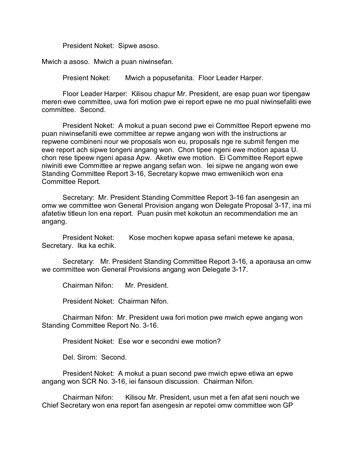President Noket: Sipwe asoso.

Mwich a asoso. Mwich a puan niwinsefan.

Presient Noket: Mwich a popusefanita. Floor Leader Harper.

Floor Leader Harper: Kilisou chapur Mr. President, are esap puan wor tipengaw meren ewe committee, uwa fori motion pwe ei report epwe ne mo pual niwinsefaliti ewe committee. Second.

President Noket: A mokut a puan second pwe ei Committee Report epwene mo puan niwinsefaniti ewe committee ar repwe angang won with the instructions ar repwene combineni nour we proposals won eu, proposals nge re submit fengen me ewe report ach sipwe tongeni angang won. Chon tipee ngeni ewe motion apasa U. chon rese tipeew ngeni apasa Apw. Aketiw ewe motion. Ei Committee Report epwe niwiniti ewe Committee ar repwe angang sefan won. Iei sipwe ne angang won ewe Standing Committee Report 3-16, Secretary kopwe mwo emwenikich won ena Committee Report.

Secretary: Mr. President Standing Committee Report 3-16 fan asengesin an omw we committee won General Provision angang won Delegate Proposal 3-17, ina mi afatetiw titleun lon ena report. Puan pusin met kokotun an recommendation me an angang.

President Noket: Kose mochen kopwe apasa sefani metewe ke apasa, Secretary. Ika ka echik.

Secretary: Mr. President Standing Committee Report 3-16, a aporausa an omw we committee won General Provisions angang won Delegate 3-17.

Chairman Nifon: Mr. President.

President Noket: Chairman Nifon.

Chairman Nifon: Mr. President uwa fori motion pwe mwich epwe angang won Standing Committee Report No. 3-16.

President Noket: Ese wor e secondni ewe motion?

Del. Sirom: Second.

President Noket: A mokut a puan second pwe mwich epwe etiwa an epwe angang won SCR No. 3-16, iei fansoun discussion. Chairman Nifon.

Chairman Nifon: Kilisou Mr. President, usun met a fen afat seni nouch we Chief Secretary won ena report fan asengesin ar repotei omw committee won GP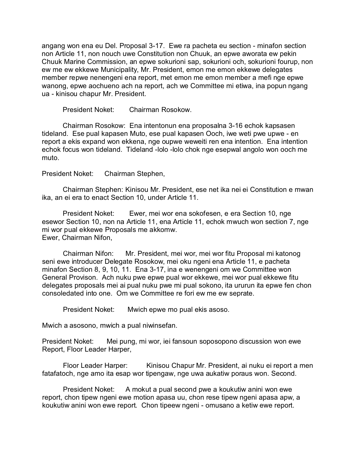angang won ena eu Del. Proposal 3-17. Ewe ra pacheta eu section - minafon section non Article 11, non nouch uwe Constitution non Chuuk, an epwe aworata ew pekin Chuuk Marine Commission, an epwe sokurioni sap, sokurioni och, sokurioni fourup, non ew me ew ekkewe Municipality, Mr. President, emon me emon ekkewe delegates member repwe nenengeni ena report, met emon me emon member a mefi nge epwe wanong, epwe aochueno ach na report, ach we Committee mi etiwa, ina popun ngang ua - kinisou chapur Mr. President.

President Noket: Chairman Rosokow.

Chairman Rosokow: Ena intentonun ena proposalna 3-16 echok kapsasen tideland. Ese pual kapasen Muto, ese pual kapasen Ooch, iwe weti pwe upwe - en report a ekis expand won ekkena, nge oupwe weweiti ren ena intention. Ena intention echok focus won tideland. Tideland -lolo -lolo chok nge esepwal angolo won ooch me muto.

President Noket: Chairman Stephen,

Chairman Stephen: Kinisou Mr. President, ese net ika nei ei Constitution e mwan ika, an ei era to enact Section 10, under Article 11.

President Noket: Ewer, mei wor ena sokofesen, e era Section 10, nge esewor Section 10, non na Article 11, ena Article 11, echok mwuch won section 7, nge mi wor pual ekkewe Proposals me akkomw. Ewer, Chairman Nifon,

Chairman Nifon: Mr. President, mei wor, mei wor fitu Proposal mi katonog seni ewe introducer Delegate Rosokow, mei oku ngeni ena Article 11, e pacheta minafon Section 8, 9, 10, 11. Ena 3-17, ina e wenengeni om we Committee won General Provison. Ach nuku pwe epwe pual wor ekkewe, mei wor pual ekkewe fitu delegates proposals mei ai pual nuku pwe mi pual sokono, ita ururun ita epwe fen chon consoledated into one. Om we Committee re fori ew me ew seprate.

President Noket: Mwich epwe mo pual ekis asoso.

Mwich a asosono, mwich a pual niwinsefan.

President Noket: Mei pung, mi wor, iei fansoun soposopono discussion won ewe Report, Floor Leader Harper,

Floor Leader Harper: Kinisou Chapur Mr. President, ai nuku ei report a men fatafatoch, nge amo ita esap wor tipengaw, nge uwa aukatiw poraus won. Second.

President Noket: A mokut a pual second pwe a koukutiw anini won ewe report, chon tipew ngeni ewe motion apasa uu, chon rese tipew ngeni apasa apw, a koukutiw anini won ewe report. Chon tipeew ngeni - omusano a ketiw ewe report.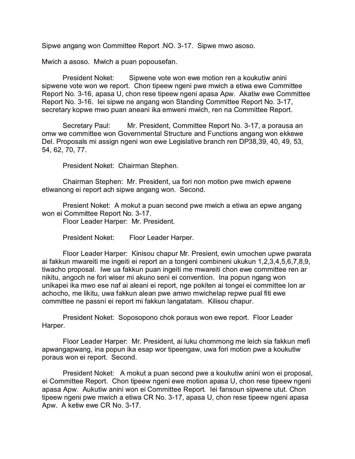Sipwe angang won Committee Report .NO. 3-17. Sipwe mwo asoso.

Mwich a asoso. Mwich a puan popousefan.

President Noket: Sipwene vote won ewe motion ren a koukutiw anini sipwene vote won we report. Chon tipeew ngeni pwe mwich a etiwa ewe Committee Report No. 3-16, apasa U, chon rese tipeew ngeni apasa Apw. Akatiw ewe Committee Report No. 3-16. Iei sipwe ne angang won Standing Committee Report No. 3-17, secretary kopwe mwo puan aneani ika emweni mwich, ren na Committee Report.

Secretary Paul: Mr. President, Committee Report No. 3-17, a porausa an omw we committee won Governmental Structure and Functions angang won ekkewe Del. Proposals mi assign ngeni won ewe Legislative branch ren DP38,39, 40, 49, 53, 54, 62, 70, 77.

President Noket: Chairman Stephen.

Chairman Stephen: Mr. President, ua fori non motion pwe mwich epwene etiwanong ei report ach sipwe angang won. Second.

Presient Noket: A mokut a puan second pwe mwich a etiwa an epwe angang won ei Committee Report No. 3-17.

Floor Leader Harper: Mr. President.

President Noket: Floor Leader Harper.

Floor Leader Harper: Kinisou chapur Mr. Presient, ewin umochen upwe pwarata ai fakkun mwareiti me ingeiti ei report an a tongeni combineni ukukun 1,2,3,4,5,6,7,8,9, tiwacho proposal. Iwe ua fakkun puan ingeiti me mwareiti chon ewe committee ren ar nikitu, angoch ne fori wiser mi akuno seni ei convention. Ina popun ngang won unikapei ika mwo ese naf ai aleani ei report, nge pokiten ai tongei ei committee lon ar achocho, me likitu, uwa fakkun alean pwe amwo mwichelap repwe pual fiti ewe committee ne passni ei report mi fakkun langatatam. Kilisou chapur.

President Noket: Soposopono chok poraus won ewe report. Floor Leader Harper.

Floor Leader Harper: Mr. President, ai luku chommong me leich sia fakkun mefi apwangapwang, ina popun ika esap wor tipeengaw, uwa fori motion pwe a koukutiw poraus won ei report. Second.

President Noket: A mokut a puan second pwe a koukutiw anini won ei proposal, ei Committee Report. Chon tipeew ngeni ewe motion apasa U, chon rese tipeew ngeni apasa Apw. Aukutiw anini won ei Committee Report. Iei fansoun sipwene utut. Chon tipeew ngeni pwe mwich a etiwa CR No. 3-17, apasa U, chon rese tipeew ngeni apasa Apw. A ketiw ewe CR No. 3-17.